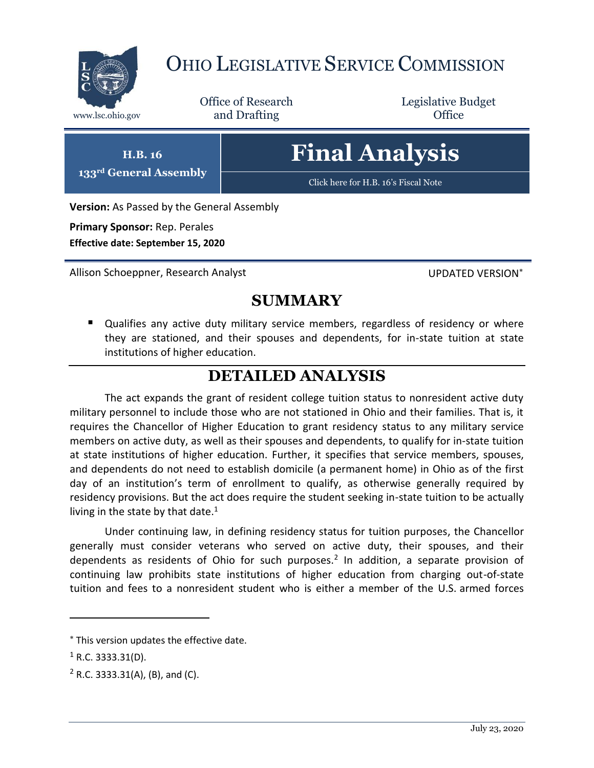

## OHIO LEGISLATIVE SERVICE COMMISSION

Office of Research www.lsc.ohio.gov **and Drafting Office** 

Legislative Budget

## **Final Analysis**

[Click here for H.B. 16](https://www.legislature.ohio.gov/legislation/legislation-documents?id=GA133-HB-16)'s Fiscal Note

**Version:** As Passed by the General Assembly

**Primary Sponsor:** Rep. Perales **Effective date: September 15, 2020**

**H.B. 16 133rd General Assembly**

Allison Schoeppner, Research Analyst New York UPDATED VERSION\*

## **SUMMARY**

 Qualifies any active duty military service members, regardless of residency or where they are stationed, and their spouses and dependents, for in-state tuition at state institutions of higher education.

## **DETAILED ANALYSIS**

The act expands the grant of resident college tuition status to nonresident active duty military personnel to include those who are not stationed in Ohio and their families. That is, it requires the Chancellor of Higher Education to grant residency status to any military service members on active duty, as well as their spouses and dependents, to qualify for in-state tuition at state institutions of higher education. Further, it specifies that service members, spouses, and dependents do not need to establish domicile (a permanent home) in Ohio as of the first day of an institution's term of enrollment to qualify, as otherwise generally required by residency provisions. But the act does require the student seeking in-state tuition to be actually living in the state by that date.<sup>1</sup>

Under continuing law, in defining residency status for tuition purposes, the Chancellor generally must consider veterans who served on active duty, their spouses, and their dependents as residents of Ohio for such purposes.<sup>2</sup> In addition, a separate provision of continuing law prohibits state institutions of higher education from charging out-of-state tuition and fees to a nonresident student who is either a member of the U.S. armed forces

 $\overline{a}$ 

This version updates the effective date.

 $1$  R.C. 3333.31(D).

 $2$  R.C. 3333.31(A), (B), and (C).